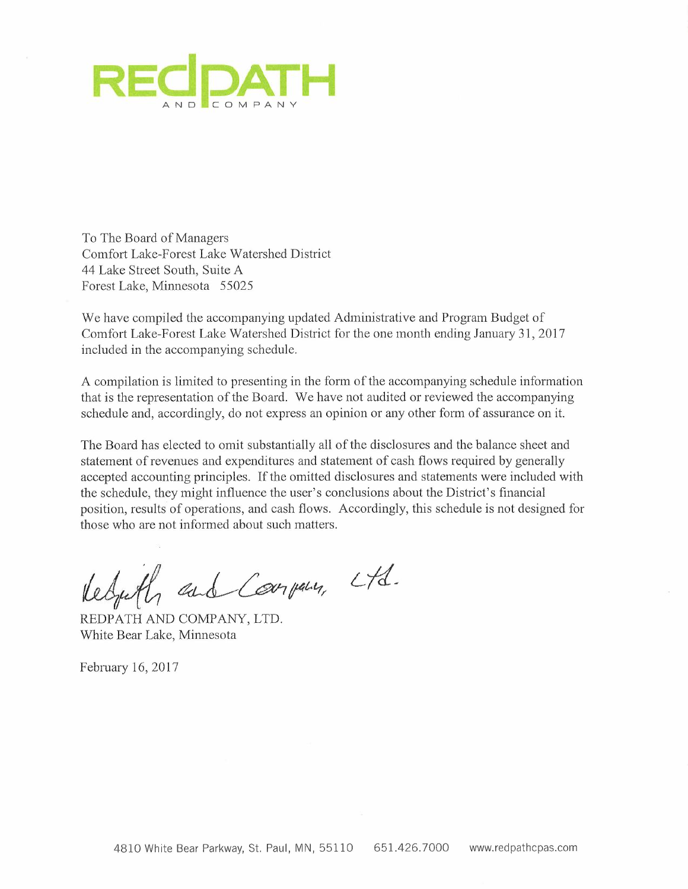

To The Board of Managers Comfort Lake-Forest Lake Watershed District 44 Lake Street South, Suite A Forest Lake, Minnesota 55025

We have compiled the accompanying updated Administrative and Program Budget of Comfort Lake-Forest Lake Watershed District for the one month ending January 31,2017 included in the accompanying schedule.

A compilation is limited to presenting in the form of the accompanying schedule information that is the representation of the Board. We have not audited or reviewed the accompanying schedule and, accordingly, do not express an opinion or any other form of assurance on it.

The Board has elected to omit substantially all of the disclosures and the balance sheet and statement of revenues and expenditures and statement of cash flows required by generally accepted accounting principles. If the omitted disclosures and statements were included with the schedule, they might influence the user's conclusions about the District's financial position, results of operations, and cash flows. Accordingly, this schedule is not designed for those who are not informed about such matters.

Kedyith and Company, Ltd.

REDPATH AND COMPANY, LTD. White Bear Lake, Minnesota

February 16, 2017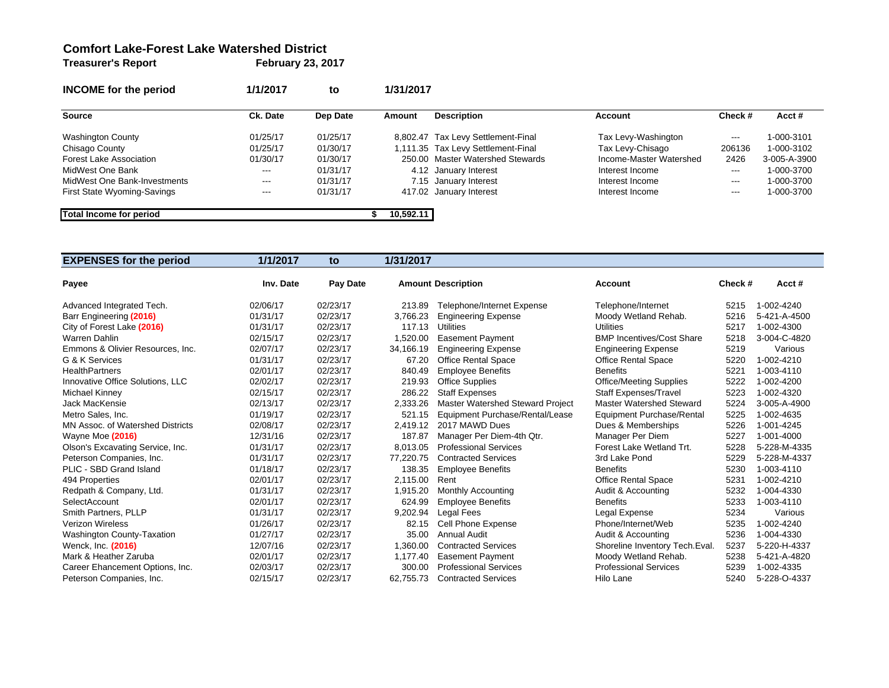#### **Comfort Lake-Forest Lake Watershed District**

**Treasurer's Report February 23, 2017**

| <b>INCOME</b> for the period | 1/1/2017 | to       | 1/31/2017 |                                    |                         |                        |              |
|------------------------------|----------|----------|-----------|------------------------------------|-------------------------|------------------------|--------------|
| Source                       | Ck. Date | Dep Date | Amount    | <b>Description</b>                 | Account                 | Check#                 | $Acct \#$    |
| <b>Washington County</b>     | 01/25/17 | 01/25/17 |           | 8,802.47 Tax Levy Settlement-Final | Tax Levy-Washington     | $\qquad \qquad \cdots$ | 1-000-3101   |
| Chisago County               | 01/25/17 | 01/30/17 |           | 1,111.35 Tax Levy Settlement-Final | Tax Levy-Chisago        | 206136                 | 1-000-3102   |
| Forest Lake Association      | 01/30/17 | 01/30/17 |           | 250.00 Master Watershed Stewards   | Income-Master Watershed | 2426                   | 3-005-A-3900 |
| MidWest One Bank             | $--$     | 01/31/17 |           | 4.12 January Interest              | Interest Income         | $---$                  | 1-000-3700   |
| MidWest One Bank-Investments | $--$     | 01/31/17 |           | 7.15 January Interest              | Interest Income         | $---$                  | 1-000-3700   |
| First State Wyoming-Savings  | $--$     | 01/31/17 |           | 417.02 January Interest            | Interest Income         | $---$                  | 1-000-3700   |
| Total Income for period      |          |          | 10.592.11 |                                    |                         |                        |              |

| <b>EXPENSES for the period</b>    | 1/1/2017  | to       | 1/31/2017 |                                         |                                  |         |              |
|-----------------------------------|-----------|----------|-----------|-----------------------------------------|----------------------------------|---------|--------------|
| Payee                             | Inv. Date | Pay Date |           | <b>Amount Description</b>               | Account                          | Check # | Acct#        |
| Advanced Integrated Tech.         | 02/06/17  | 02/23/17 | 213.89    | <b>Telephone/Internet Expense</b>       | Telephone/Internet               | 5215    | 1-002-4240   |
| Barr Engineering (2016)           | 01/31/17  | 02/23/17 | 3,766.23  | <b>Engineering Expense</b>              | Moody Wetland Rehab.             | 5216    | 5-421-A-4500 |
| City of Forest Lake (2016)        | 01/31/17  | 02/23/17 | 117.13    | Utilities                               | <b>Utilities</b>                 | 5217    | 1-002-4300   |
| Warren Dahlin                     | 02/15/17  | 02/23/17 | 1,520.00  | <b>Easement Payment</b>                 | <b>BMP Incentives/Cost Share</b> | 5218    | 3-004-C-4820 |
| Emmons & Olivier Resources, Inc.  | 02/07/17  | 02/23/17 | 34,166.19 | <b>Engineering Expense</b>              | <b>Engineering Expense</b>       | 5219    | Various      |
| G & K Services                    | 01/31/17  | 02/23/17 | 67.20     | <b>Office Rental Space</b>              | <b>Office Rental Space</b>       | 5220    | 1-002-4210   |
| <b>HealthPartners</b>             | 02/01/17  | 02/23/17 | 840.49    | <b>Employee Benefits</b>                | <b>Benefits</b>                  | 5221    | 1-003-4110   |
| Innovative Office Solutions, LLC  | 02/02/17  | 02/23/17 | 219.93    | <b>Office Supplies</b>                  | <b>Office/Meeting Supplies</b>   | 5222    | 1-002-4200   |
| Michael Kinney                    | 02/15/17  | 02/23/17 | 286.22    | <b>Staff Expenses</b>                   | <b>Staff Expenses/Travel</b>     | 5223    | 1-002-4320   |
| Jack MacKensie                    | 02/13/17  | 02/23/17 | 2,333.26  | <b>Master Watershed Steward Project</b> | Master Watershed Steward         | 5224    | 3-005-A-4900 |
| Metro Sales, Inc.                 | 01/19/17  | 02/23/17 | 521.15    | Equipment Purchase/Rental/Lease         | <b>Equipment Purchase/Rental</b> | 5225    | 1-002-4635   |
| MN Assoc. of Watershed Districts  | 02/08/17  | 02/23/17 | 2,419.12  | 2017 MAWD Dues                          | Dues & Memberships               | 5226    | 1-001-4245   |
| Wayne Moe (2016)                  | 12/31/16  | 02/23/17 | 187.87    | Manager Per Diem-4th Qtr.               | Manager Per Diem                 | 5227    | 1-001-4000   |
| Olson's Excavating Service, Inc.  | 01/31/17  | 02/23/17 | 8,013.05  | <b>Professional Services</b>            | Forest Lake Wetland Trt.         | 5228    | 5-228-M-4335 |
| Peterson Companies, Inc.          | 01/31/17  | 02/23/17 | 77,220.75 | <b>Contracted Services</b>              | 3rd Lake Pond                    | 5229    | 5-228-M-4337 |
| PLIC - SBD Grand Island           | 01/18/17  | 02/23/17 | 138.35    | <b>Employee Benefits</b>                | <b>Benefits</b>                  | 5230    | 1-003-4110   |
| 494 Properties                    | 02/01/17  | 02/23/17 | 2.115.00  | Rent                                    | <b>Office Rental Space</b>       | 5231    | 1-002-4210   |
| Redpath & Company, Ltd.           | 01/31/17  | 02/23/17 | 1.915.20  | <b>Monthly Accounting</b>               | Audit & Accounting               | 5232    | 1-004-4330   |
| SelectAccount                     | 02/01/17  | 02/23/17 | 624.99    | <b>Employee Benefits</b>                | <b>Benefits</b>                  | 5233    | 1-003-4110   |
| Smith Partners, PLLP              | 01/31/17  | 02/23/17 | 9,202.94  | Legal Fees                              | Legal Expense                    | 5234    | Various      |
| <b>Verizon Wireless</b>           | 01/26/17  | 02/23/17 | 82.15     | Cell Phone Expense                      | Phone/Internet/Web               | 5235    | 1-002-4240   |
| <b>Washington County-Taxation</b> | 01/27/17  | 02/23/17 | 35.00     | <b>Annual Audit</b>                     | Audit & Accounting               | 5236    | 1-004-4330   |
| Wenck, Inc. (2016)                | 12/07/16  | 02/23/17 | 1,360.00  | <b>Contracted Services</b>              | Shoreline Inventory Tech. Eval.  | 5237    | 5-220-H-4337 |
| Mark & Heather Zaruba             | 02/01/17  | 02/23/17 | 1.177.40  | <b>Easement Payment</b>                 | Moody Wetland Rehab.             | 5238    | 5-421-A-4820 |
| Career Ehancement Options, Inc.   | 02/03/17  | 02/23/17 | 300.00    | <b>Professional Services</b>            | <b>Professional Services</b>     | 5239    | 1-002-4335   |
| Peterson Companies, Inc.          | 02/15/17  | 02/23/17 | 62.755.73 | <b>Contracted Services</b>              | Hilo Lane                        | 5240    | 5-228-0-4337 |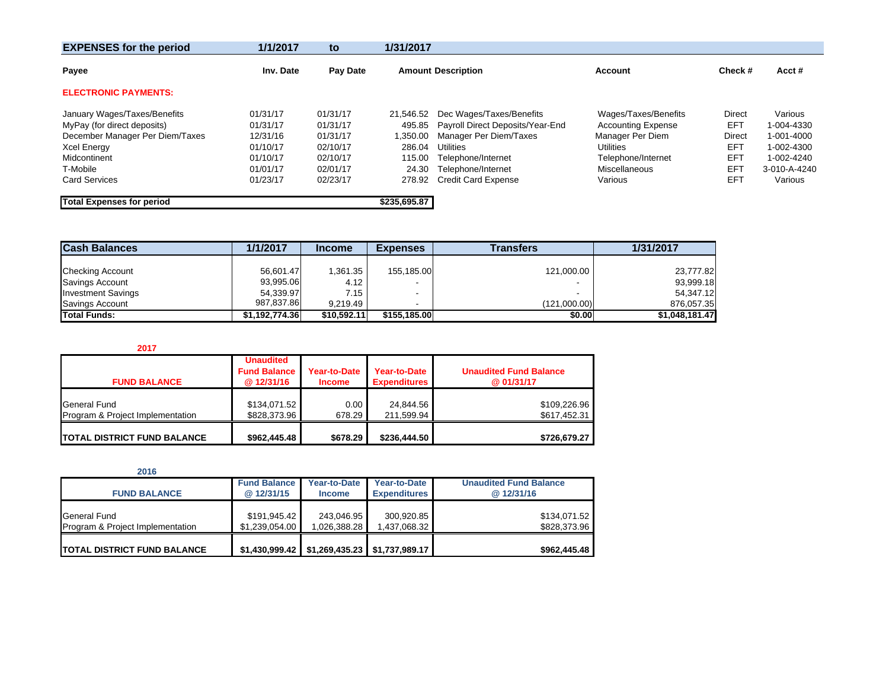| <b>EXPENSES for the period</b>   | 1/1/2017  | to       | 1/31/2017                                   |                                  |                           |               |              |
|----------------------------------|-----------|----------|---------------------------------------------|----------------------------------|---------------------------|---------------|--------------|
| Payee                            | Inv. Date | Pay Date | <b>Amount Description</b><br><b>Account</b> |                                  | Check#                    | Acct#         |              |
| <b>ELECTRONIC PAYMENTS:</b>      |           |          |                                             |                                  |                           |               |              |
| January Wages/Taxes/Benefits     | 01/31/17  | 01/31/17 | 21.546.52                                   | Dec Wages/Taxes/Benefits         | Wages/Taxes/Benefits      | <b>Direct</b> | Various      |
| MyPay (for direct deposits)      | 01/31/17  | 01/31/17 | 495.85                                      | Payroll Direct Deposits/Year-End | <b>Accounting Expense</b> | EFT           | 1-004-4330   |
| December Manager Per Diem/Taxes  | 12/31/16  | 01/31/17 | 1,350.00                                    | Manager Per Diem/Taxes           | Manager Per Diem          | Direct        | 1-001-4000   |
| <b>Xcel Energy</b>               | 01/10/17  | 02/10/17 | 286.04                                      | Utilities                        | <b>Utilities</b>          | EFT           | 1-002-4300   |
| Midcontinent                     | 01/10/17  | 02/10/17 | 115.00                                      | Telephone/Internet               | Telephone/Internet        | EFT           | 1-002-4240   |
| T-Mobile                         | 01/01/17  | 02/01/17 | 24.30                                       | Telephone/Internet               | Miscellaneous             | EFT           | 3-010-A-4240 |
| <b>Card Services</b>             | 01/23/17  | 02/23/17 | 278.92                                      | <b>Credit Card Expense</b>       | Various                   | EFT           | Various      |
| <b>Total Expenses for period</b> |           |          | \$235,695.87                                |                                  |                           |               |              |

| <b>Cash Balances</b>      | 1/1/2017       | <b>Income</b> | <b>Expenses</b>          | Transfers    | 1/31/2017      |
|---------------------------|----------------|---------------|--------------------------|--------------|----------------|
|                           |                |               |                          |              |                |
| <b>Checking Account</b>   | 56,601.47      | 1,361.35      | 155,185.00               | 121,000.00   | 23,777.82      |
| Savings Account           | 93,995.06      | 4.12          | $\overline{\phantom{a}}$ |              | 93,999.18      |
| <b>Investment Savings</b> | 54.339.97      | 7.15          |                          |              | 54.347.12      |
| Savings Account           | 987.837.86     | 9.219.49      |                          | (121,000.00) | 876,057.35     |
| <b>Total Funds:</b>       | \$1,192,774.36 | \$10.592.11   | \$155.185.00             | \$0.00       | \$1,048,181.47 |

#### **2017**

| <b>FUND BALANCE</b>                              | <b>Unaudited</b><br><b>Fund Balance</b><br>@12/31/16 | Year-to-Date<br><b>Income</b> | Year-to-Date<br><b>Expenditures</b> | <b>Unaudited Fund Balance</b><br>@01/31/17 |
|--------------------------------------------------|------------------------------------------------------|-------------------------------|-------------------------------------|--------------------------------------------|
| General Fund<br>Program & Project Implementation | \$134,071.52<br>\$828,373.96                         | 0.00<br>678.29                | 24.844.56<br>211.599.94             | \$109,226.96<br>\$617,452.31               |
| <b>ITOTAL DISTRICT FUND BALANCE</b>              | \$962,445.48                                         | \$678.29                      | \$236,444.50                        | \$726,679.27                               |

| 2016                                |                     |               |                                |                               |
|-------------------------------------|---------------------|---------------|--------------------------------|-------------------------------|
|                                     | <b>Fund Balance</b> | Year-to-Date  | Year-to-Date                   | <b>Unaudited Fund Balance</b> |
| <b>FUND BALANCE</b>                 | @12/31/15           | <b>Income</b> | <b>Expenditures</b>            | @12/31/16                     |
| General Fund                        | \$191,945.42        | 243.046.95    | 300.920.85                     | \$134,071.52                  |
| Program & Project Implementation    | \$1.239.054.00      | 1.026.388.28  | 1,437,068.32                   | \$828,373.96                  |
| <b>ITOTAL DISTRICT FUND BALANCE</b> | \$1.430.999.42      |               | $$1,269,435.23$ \$1,737,989.17 | \$962,445.48                  |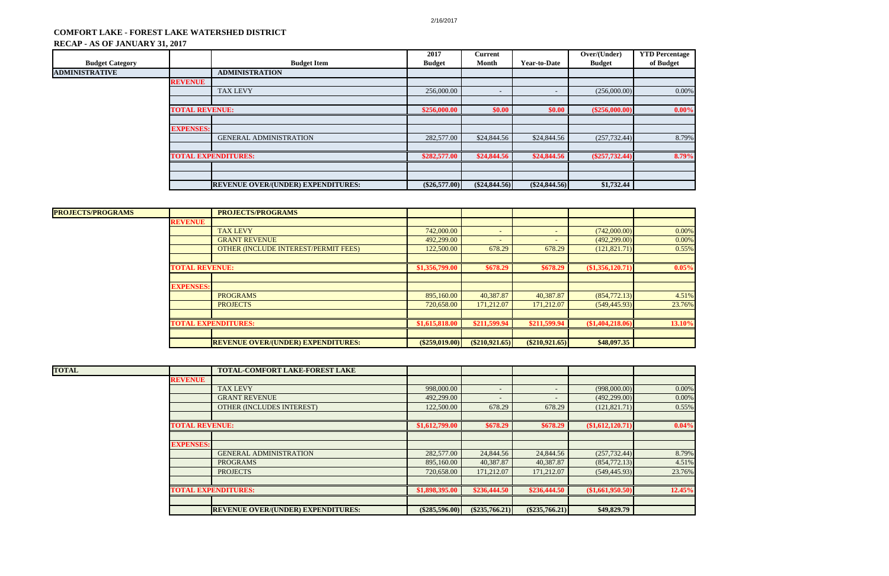# **COMFORT LAKE - FOREST LAKE WATERSHED DISTRICT**

## **RECAP - AS OF JANUARY 31, 2017**

| <b>Budget Category</b> |                       | <b>Budget Item</b>                        | 2017<br><b>Budget</b> | Current<br>Month         | <b>Year-to-Date</b>      | Over/(Under)<br><b>Budget</b> | <b>YTD Percentage</b><br>of Budget |
|------------------------|-----------------------|-------------------------------------------|-----------------------|--------------------------|--------------------------|-------------------------------|------------------------------------|
| ADMINISTRATIVE         |                       | <b>ADMINISTRATION</b>                     |                       |                          |                          |                               |                                    |
|                        | <b>REVENUE</b>        |                                           |                       |                          |                          |                               |                                    |
|                        |                       | <b>TAX LEVY</b>                           | 256,000.00            | $\overline{\phantom{a}}$ | $\overline{\phantom{0}}$ | (256,000.00)                  | 0.00%                              |
|                        |                       |                                           |                       |                          |                          |                               |                                    |
|                        | <b>TOTAL REVENUE:</b> |                                           | \$256,000.00          | \$0.00                   | \$0.00                   | $(\$256,000.00)$              | 0.00%                              |
|                        |                       |                                           |                       |                          |                          |                               |                                    |
|                        | <b>EXPENSES:</b>      |                                           |                       |                          |                          |                               |                                    |
|                        |                       | <b>GENERAL ADMINISTRATION</b>             | 282,577.00            | \$24,844.56              | \$24,844.56              | (257, 732.44)                 | 8.79%                              |
|                        |                       |                                           |                       |                          |                          |                               |                                    |
|                        |                       | <b>TOTAL EXPENDITURES:</b>                | \$282,577.00          | \$24,844.56              | \$24,844.56              | $(\$257,732.44)$              | 8.79%                              |
|                        |                       |                                           |                       |                          |                          |                               |                                    |
|                        |                       |                                           |                       |                          |                          |                               |                                    |
|                        |                       | <b>REVENUE OVER/(UNDER) EXPENDITURES:</b> | $(\$26,577.00)$       | $(\$24,844.56)$          | $(\$24,844.56)$          | \$1,732.44                    |                                    |

|                  | <b>PROJECTS/PROGRAMS</b>             |                                                                                                  |                          |                 |                  |                  |
|------------------|--------------------------------------|--------------------------------------------------------------------------------------------------|--------------------------|-----------------|------------------|------------------|
| <b>REVENUE</b>   |                                      |                                                                                                  |                          |                 |                  |                  |
|                  | <b>TAX LEVY</b>                      | 742,000.00                                                                                       | $\overline{\phantom{a}}$ |                 | (742,000.00)     | 0.00%            |
|                  | <b>GRANT REVENUE</b>                 | 492,299.00                                                                                       | $\sim$                   |                 | (492, 299.00)    | 0.00%            |
|                  | OTHER (INCLUDE INTEREST/PERMIT FEES) | 122,500.00                                                                                       | 678.29                   | 678.29          | (121, 821.71)    | 0.55%            |
|                  |                                      |                                                                                                  |                          |                 |                  |                  |
|                  |                                      | \$1,356,799.00                                                                                   | \$678.29                 | \$678.29        | (\$1,356,120.71) | 0.05%            |
|                  |                                      |                                                                                                  |                          |                 |                  |                  |
| <b>EXPENSES:</b> |                                      |                                                                                                  |                          |                 |                  |                  |
|                  | <b>PROGRAMS</b>                      | 895,160.00                                                                                       | 40,387.87                | 40,387.87       | (854,772.13)     | 4.51%            |
|                  | <b>PROJECTS</b>                      | 720,658.00                                                                                       | 171,212.07               | 171,212.07      | (549, 445.93)    | 23.76%           |
|                  |                                      |                                                                                                  |                          |                 |                  |                  |
|                  |                                      | \$1,615,818.00                                                                                   | \$211,599.94             | \$211,599.94    | (\$1,404,218.06) | 13.10%           |
|                  |                                      |                                                                                                  |                          |                 |                  |                  |
|                  |                                      |                                                                                                  |                          |                 | \$48,097.35      |                  |
|                  |                                      | <b>TOTAL REVENUE:</b><br><b>TOTAL EXPENDITURES:</b><br><b>REVENUE OVER/(UNDER) EXPENDITURES:</b> |                          | (S259, 019, 00) | (S210, 921.65)   | $(\$210,921.65)$ |

| <b>TOTAL</b> |                       | <b>TOTAL-COMFORT LAKE-FOREST LAKE</b>     |                  |                  |                |                  |        |
|--------------|-----------------------|-------------------------------------------|------------------|------------------|----------------|------------------|--------|
|              | <b>REVENUE</b>        |                                           |                  |                  |                |                  |        |
|              |                       | <b>TAX LEVY</b>                           | 998,000.00       | $\sim$ .         |                | (998,000.00)     | 0.00%  |
|              |                       | <b>GRANT REVENUE</b>                      | 492,299.00       | $\sim$           |                | (492, 299.00)    | 0.00%  |
|              |                       | <b>OTHER (INCLUDES INTEREST)</b>          | 122,500.00       | 678.29           | 678.29         | (121, 821.71)    | 0.55%  |
|              |                       |                                           |                  |                  |                |                  |        |
|              | <b>TOTAL REVENUE:</b> |                                           | \$1,612,799.00   | \$678.29         | \$678.29       | (\$1,612,120.71) | 0.04%  |
|              |                       |                                           |                  |                  |                |                  |        |
|              | <b>EXPENSES:</b>      |                                           |                  |                  |                |                  |        |
|              |                       | <b>GENERAL ADMINISTRATION</b>             | 282,577.00       | 24,844.56        | 24,844.56      | (257, 732.44)    | 8.79%  |
|              |                       | <b>PROGRAMS</b>                           | 895,160.00       | 40,387.87        | 40,387.87      | (854,772.13)     | 4.51%  |
|              |                       | <b>PROJECTS</b>                           | 720,658.00       | 171,212.07       | 171,212.07     | (549, 445.93)    | 23.76% |
|              |                       |                                           |                  |                  |                |                  |        |
|              |                       | <b>TOTAL EXPENDITURES:</b>                | \$1,898,395.00   | \$236,444.50     | \$236,444.50   | (\$1,661,950.50) | 12.45% |
|              |                       |                                           |                  |                  |                |                  |        |
|              |                       | <b>REVENUE OVER/(UNDER) EXPENDITURES:</b> | $(\$285,596.00)$ | $(\$235,766.21)$ | (\$235,766.21) | \$49,829.79      |        |

| Percentage |  |
|------------|--|
| f Budget   |  |
|            |  |
|            |  |
| 0.00%      |  |
|            |  |
| $0.00\%$   |  |
|            |  |
|            |  |
| 8.79%      |  |
|            |  |
| 8.79%      |  |
|            |  |
|            |  |

| 0.00%    |
|----------|
| $0.00\%$ |
| 0.55%    |
|          |
| 0.05%    |
|          |
|          |
| 4.51%    |
| 23.76%   |
|          |
|          |
| 13.10%   |
|          |